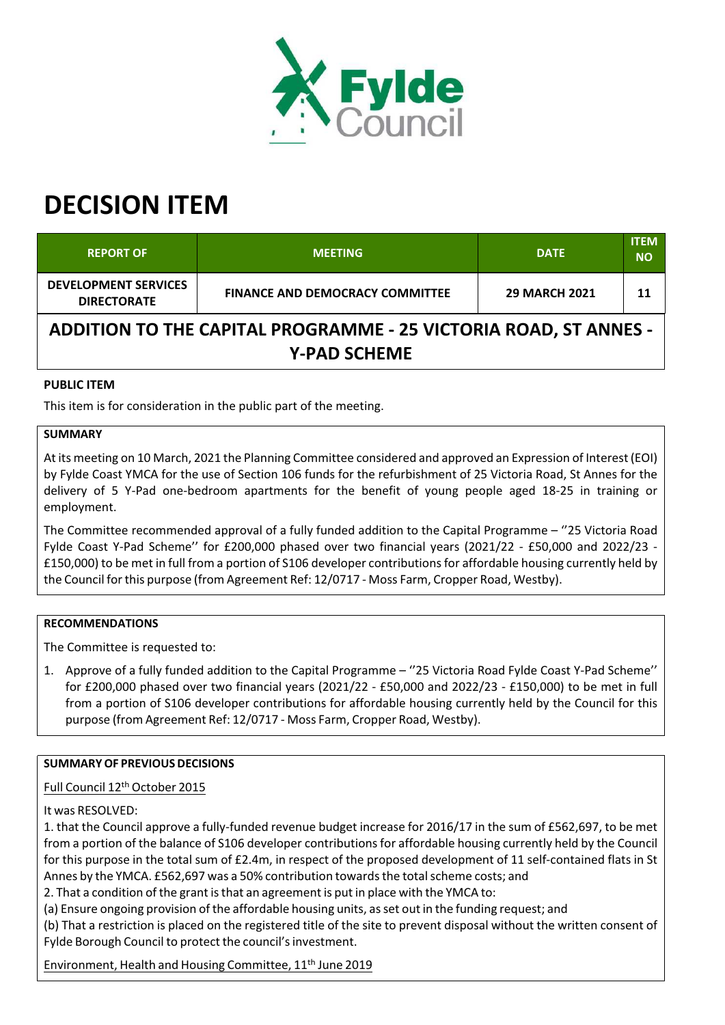

# **DECISION ITEM**

| <b>REPORT OF</b>                                                                               | <b>MEETING</b>                         | <b>DATE</b>          | <b>ITEM</b><br><b>NO</b> |  |  |  |
|------------------------------------------------------------------------------------------------|----------------------------------------|----------------------|--------------------------|--|--|--|
| <b>DEVELOPMENT SERVICES</b><br><b>DIRECTORATE</b>                                              | <b>FINANCE AND DEMOCRACY COMMITTEE</b> | <b>29 MARCH 2021</b> | 11                       |  |  |  |
| <b>ADDITION TO THE CAPITAL PROGRAMME - 25 VICTORIA ROAD, ST ANNES -</b><br><b>Y-PAD SCHEME</b> |                                        |                      |                          |  |  |  |

## **PUBLIC ITEM**

This item is for consideration in the public part of the meeting.

#### **SUMMARY**

At its meeting on 10 March, 2021 the Planning Committee considered and approved an Expression of Interest (EOI) by Fylde Coast YMCA for the use of Section 106 funds for the refurbishment of 25 Victoria Road, St Annes for the delivery of 5 Y‐Pad one‐bedroom apartments for the benefit of young people aged 18‐25 in training or employment.

The Committee recommended approval of a fully funded addition to the Capital Programme – ''25 Victoria Road Fylde Coast Y‐Pad Scheme'' for £200,000 phased over two financial years (2021/22 ‐ £50,000 and 2022/23 ‐ £150,000) to be met in full from a portion of S106 developer contributionsfor affordable housing currently held by the Council forthis purpose (from Agreement Ref: 12/0717 ‐ Moss Farm, Cropper Road, Westby).

#### **RECOMMENDATIONS**

The Committee is requested to:

1. Approve of a fully funded addition to the Capital Programme – ''25 Victoria Road Fylde Coast Y‐Pad Scheme'' for £200,000 phased over two financial years (2021/22 ‐ £50,000 and 2022/23 ‐ £150,000) to be met in full from a portion of S106 developer contributions for affordable housing currently held by the Council for this purpose (from Agreement Ref: 12/0717 ‐ Moss Farm, Cropper Road, Westby).

## **SUMMARYOF PREVIOUS DECISIONS**

## Full Council 12 th October 2015

It was RESOLVED:

1. that the Council approve a fully‐funded revenue budget increase for 2016/17 in the sum of £562,697, to be met from a portion of the balance of S106 developer contributions for affordable housing currently held by the Council for this purpose in the total sum of £2.4m, in respect of the proposed development of 11 self-contained flats in St Annes by the YMCA. £562,697 was a 50% contribution towards the total scheme costs; and

2. That a condition of the grant is that an agreement is put in place with the YMCA to:

(a) Ensure ongoing provision of the affordable housing units, asset out in the funding request; and

(b) That a restriction is placed on the registered title of the site to prevent disposal without the written consent of Fylde Borough Council to protect the council's investment.

Environment, Health and Housing Committee, 11<sup>th</sup> June 2019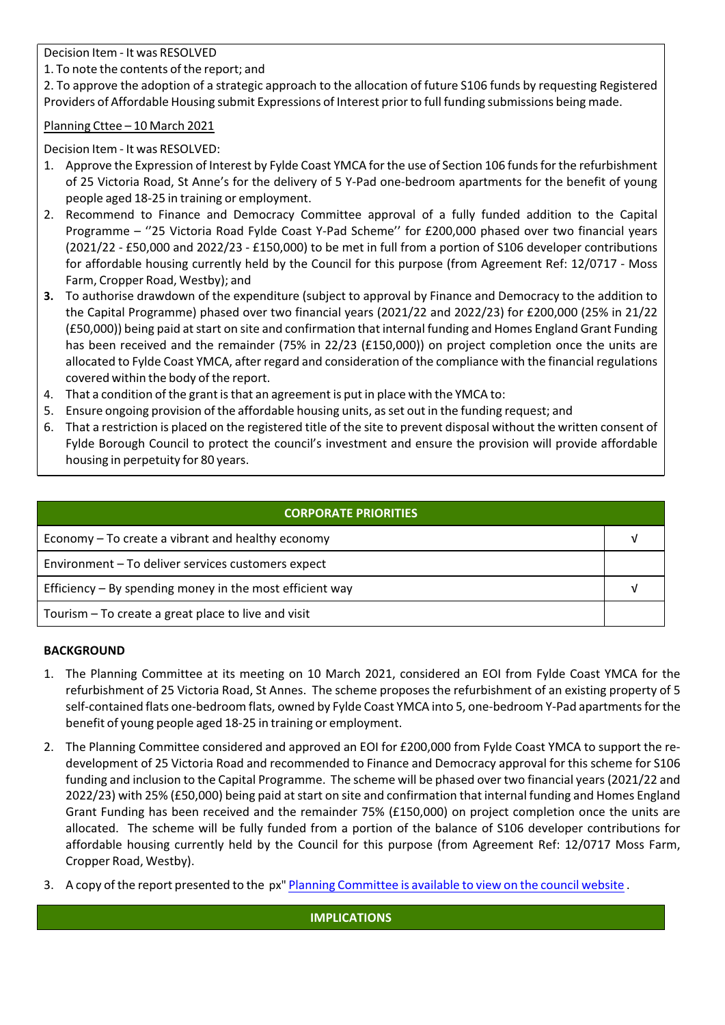Decision Item ‐ It was RESOLVED

1. To note the contents of the report; and

2. To approve the adoption of a strategic approach to the allocation of future S106 funds by requesting Registered Providers of Affordable Housing submit Expressions of Interest priorto full funding submissions being made.

## Planning Cttee – 10 March 2021

Decision Item ‐ It was RESOLVED:

- 1. Approve the Expression of Interest by Fylde Coast YMCA for the use of Section 106 fundsfor the refurbishment of 25 Victoria Road, St Anne's for the delivery of 5 Y‐Pad one‐bedroom apartments for the benefit of young people aged 18‐25 in training or employment.
- 2. Recommend to Finance and Democracy Committee approval of a fully funded addition to the Capital Programme – ''25 Victoria Road Fylde Coast Y‐Pad Scheme'' for £200,000 phased over two financial years (2021/22 ‐ £50,000 and 2022/23 ‐ £150,000) to be met in full from a portion of S106 developer contributions for affordable housing currently held by the Council for this purpose (from Agreement Ref: 12/0717 ‐ Moss Farm, Cropper Road, Westby); and
- **3.** To authorise drawdown of the expenditure (subject to approval by Finance and Democracy to the addition to the Capital Programme) phased over two financial years (2021/22 and 2022/23) for £200,000 (25% in 21/22 (£50,000)) being paid at start on site and confirmation that internal funding and Homes England Grant Funding has been received and the remainder (75% in 22/23 (£150,000)) on project completion once the units are allocated to Fylde Coast YMCA, after regard and consideration of the compliance with the financial regulations covered within the body of the report.
- 4. That a condition of the grant is that an agreement is put in place with the YMCA to:
- 5. Ensure ongoing provision of the affordable housing units, asset out in the funding request; and
- 6. That a restriction is placed on the registered title of the site to prevent disposal without the written consent of Fylde Borough Council to protect the council's investment and ensure the provision will provide affordable housing in perpetuity for 80 years.

| <b>CORPORATE PRIORITIES</b>                                |  |  |
|------------------------------------------------------------|--|--|
| Economy – To create a vibrant and healthy economy          |  |  |
| Environment - To deliver services customers expect         |  |  |
| Efficiency $-$ By spending money in the most efficient way |  |  |
| Tourism – To create a great place to live and visit        |  |  |

## **BACKGROUND**

- 1. The Planning Committee at its meeting on 10 March 2021, considered an EOI from Fylde Coast YMCA for the refurbishment of 25 Victoria Road, St Annes. The scheme proposes the refurbishment of an existing property of 5 self-contained flats one-bedroom flats, owned by Fylde Coast YMCA into 5, one-bedroom Y-Pad apartments for the benefit of young people aged 18‐25 in training or employment.
- 2. The Planning Committee considered and approved an EOI for £200,000 from Fylde Coast YMCA to support the re‐ development of 25 Victoria Road and recommended to Finance and Democracy approval for this scheme for S106 funding and inclusion to the Capital Programme. The scheme will be phased over two financial years(2021/22 and 2022/23) with 25% (£50,000) being paid at start on site and confirmation that internal funding and Homes England Grant Funding has been received and the remainder 75% (£150,000) on project completion once the units are allocated. The scheme will be fully funded from a portion of the balance of S106 developer contributions for affordable housing currently held by the Council for this purpose (from Agreement Ref: 12/0717 Moss Farm, Cropper Road, Westby).
- 3. A copy of the report presented to the px" Planning Committee is available to view on the council website .

**IMPLICATIONS**